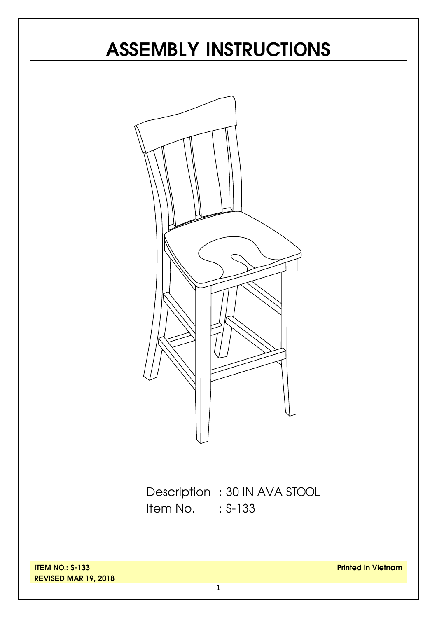# **ASSEMBLY INSTRUCTIONS**



Description : 30 IN AVA STOOL Item No. : S-133

**ITEM NO.: S-133 REVISED MAR 19, 2018**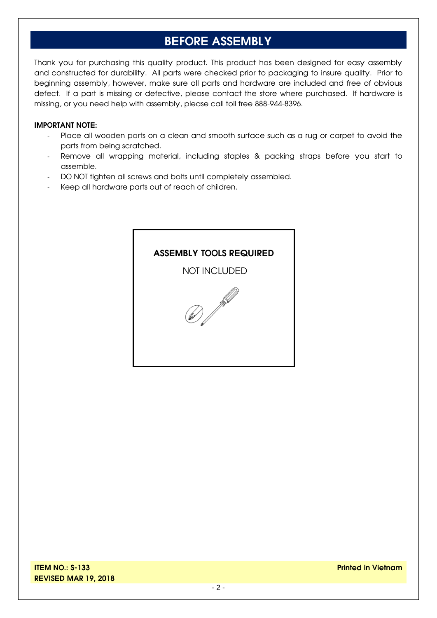#### **BEFORE ASSEMBLY**

Thank you for purchasing this quality product. This product has been designed for easy assembly and constructed for durability. All parts were checked prior to packaging to insure quality. Prior to beginning assembly, however, make sure all parts and hardware are included and free of obvious defect. If a part is missing or defective, please contact the store where purchased. If hardware is missing, or you need help with assembly, please call toll free 888-944-8396.

#### **IMPORTANT NOTE:**

- Place all wooden parts on a clean and smooth surface such as a rug or carpet to avoid the parts from being scratched.
- Remove all wrapping material, including staples & packing straps before you start to assemble.
- DO NOT tighten all screws and bolts until completely assembled.
- Keep all hardware parts out of reach of children.

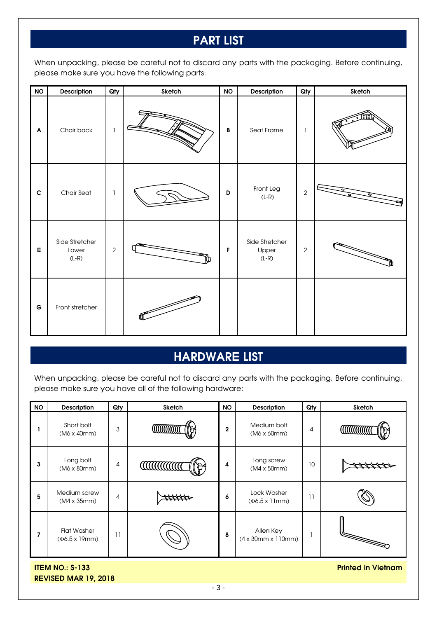### **PART LIST**

When unpacking, please be careful not to discard any parts with the packaging. Before continuing, please make sure you have the following parts:

| $\mathsf{NO}$             | Description                        | Qty        | Sketch       | <b>NO</b>    | Description                        | Qty            | Sketch |
|---------------------------|------------------------------------|------------|--------------|--------------|------------------------------------|----------------|--------|
| $\boldsymbol{\mathsf{A}}$ | Chair back                         | ı          |              | $\, {\bf B}$ | Seat Frame                         | 1              |        |
| $\mathbf C$               | Chair Seat                         | 1          |              | D            | Front Leg<br>$(L-R)$               | $\overline{2}$ |        |
| $\mathsf E$               | Side Stretcher<br>Lower<br>$(L-R)$ | $\sqrt{2}$ |              | F            | Side Stretcher<br>Upper<br>$(L-R)$ | $\overline{2}$ |        |
| $\mathsf G$               | Front stretcher                    |            | $\mathbb{P}$ |              |                                    |                |        |

#### **HARDWARE LIST**

When unpacking, please be careful not to discard any parts with the packaging. Before continuing, please make sure you have all of the following hardware:

| <b>NO</b> | <b>Description</b>                          | Qty | Sketch           | <b>NO</b>    | <b>Description</b>                         | Qty             | <b>Sketch</b> |
|-----------|---------------------------------------------|-----|------------------|--------------|--------------------------------------------|-----------------|---------------|
|           | Short bolt<br>(M6 x 40mm)                   | 3   |                  | $\mathbf{2}$ | Medium bolt<br>$(M6 \times 60 \text{mm})$  | 4               |               |
| 3         | Long bolt<br>$(M6 \times 80 \text{mm})$     | 4   | <b>CONTINUES</b> | 4            | Long screw<br>$(M4 \times 50 \text{mm})$   | 10 <sup>°</sup> |               |
| 5         | Medium screw<br>(M4 x 35mm)                 | 4   |                  | 6            | Lock Washer<br>$(\Phi6.5 \times 11$ mm)    | 11              |               |
| 7         | <b>Flat Washer</b><br>$(46.5 \times 19$ mm) | 11  |                  | 8            | Allen Key<br>$(4 \times 30$ mm x 110mm $)$ |                 |               |

**ITEM NO.: S-133 REVISED MAR 19, 2018** **Printed in Vietnam**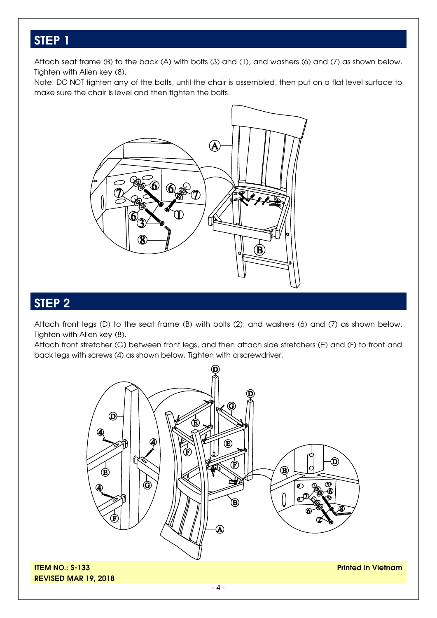#### **STEP 1**

Attach seat frame (B) to the back (A) with bolts (3) and (1), and washers (6) and (7) as shown below. Tighten with Allen key (8).

Note: DO NOT tighten any of the bolts, until the chair is assembled, then put on a flat level surface to make sure the chair is level and then tighten the bolts.



#### **STEP 2**

Attach front legs (D) to the seat frame (B) with bolts (2), and washers (6) and (7) as shown below. Tighten with Allen key (8).

Attach front stretcher (G) between front legs, and then attach side stretchers (E) and (F) to front and back legs with screws (4) as shown below. Tighten with a screwdriver.



**ITEM NO.: S-133 REVISED MAR 19, 2018** **Printed in Vietnam**